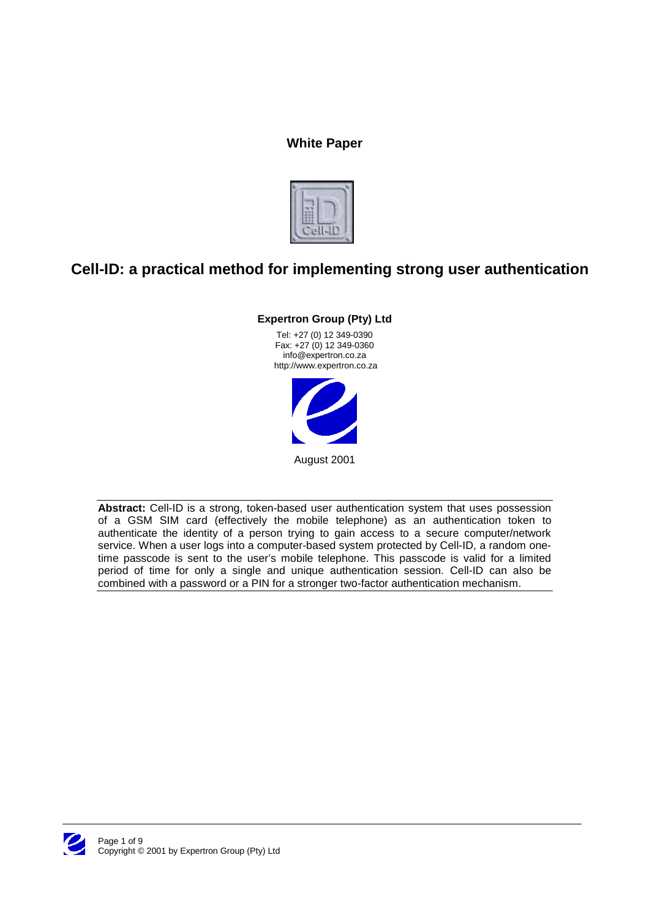# **White Paper**



# **Cell-ID: a practical method for implementing strong user authentication**

# **Expertron Group (Pty) Ltd**

Tel: +27 (0) 12 349-0390 Fax: +27 (0) 12 349-0360 info@expertron.co.za http://www.expertron.co.za



**Abstract:** Cell-ID is a strong, token-based user authentication system that uses possession of a GSM SIM card (effectively the mobile telephone) as an authentication token to authenticate the identity of a person trying to gain access to a secure computer/network service. When a user logs into a computer-based system protected by Cell-ID, a random onetime passcode is sent to the user's mobile telephone. This passcode is valid for a limited period of time for only a single and unique authentication session. Cell-ID can also be combined with a password or a PIN for a stronger two-factor authentication mechanism.

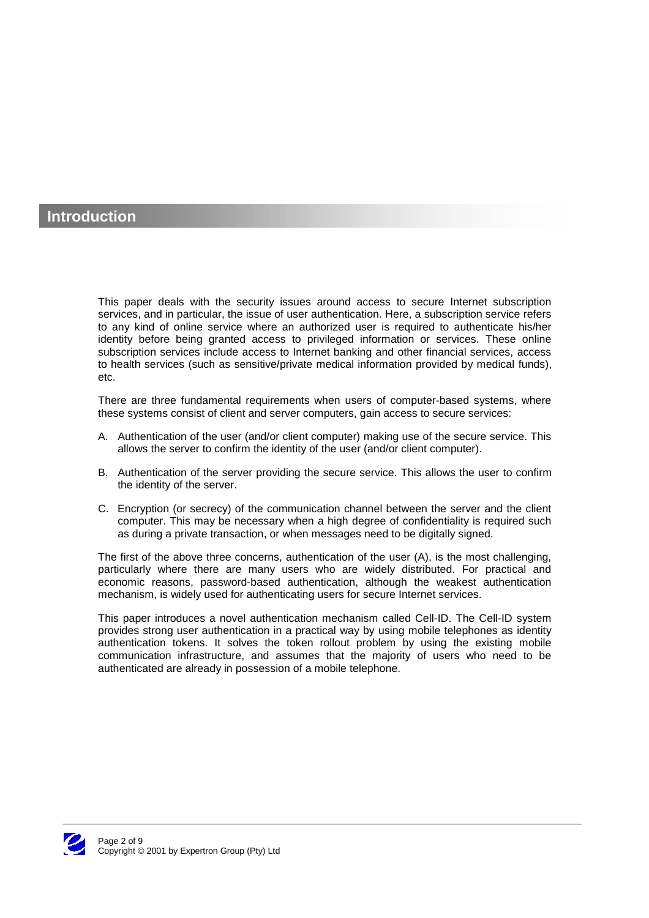# **Introduction**

This paper deals with the security issues around access to secure Internet subscription services, and in particular, the issue of user authentication. Here, a subscription service refers to any kind of online service where an authorized user is required to authenticate his/her identity before being granted access to privileged information or services. These online subscription services include access to Internet banking and other financial services, access to health services (such as sensitive/private medical information provided by medical funds), etc.

There are three fundamental requirements when users of computer-based systems, where these systems consist of client and server computers, gain access to secure services:

- A. Authentication of the user (and/or client computer) making use of the secure service. This allows the server to confirm the identity of the user (and/or client computer).
- B. Authentication of the server providing the secure service. This allows the user to confirm the identity of the server.
- C. Encryption (or secrecy) of the communication channel between the server and the client computer. This may be necessary when a high degree of confidentiality is required such as during a private transaction, or when messages need to be digitally signed.

The first of the above three concerns, authentication of the user (A), is the most challenging, particularly where there are many users who are widely distributed. For practical and economic reasons, password-based authentication, although the weakest authentication mechanism, is widely used for authenticating users for secure Internet services.

This paper introduces a novel authentication mechanism called Cell-ID. The Cell-ID system provides strong user authentication in a practical way by using mobile telephones as identity authentication tokens. It solves the token rollout problem by using the existing mobile communication infrastructure, and assumes that the majority of users who need to be authenticated are already in possession of a mobile telephone.

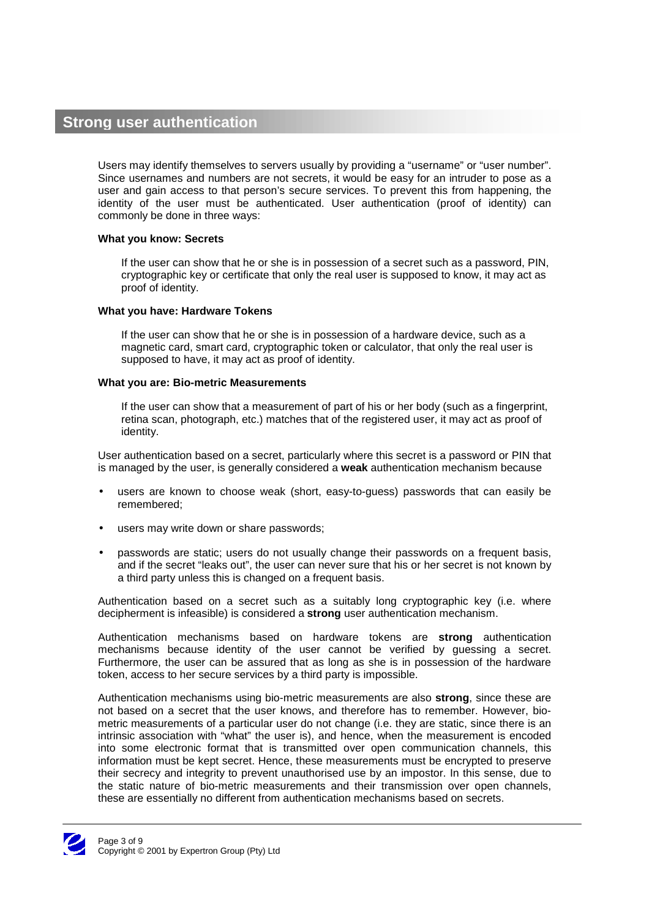# **Strong user authentication**

Users may identify themselves to servers usually by providing a "username" or "user number". Since usernames and numbers are not secrets, it would be easy for an intruder to pose as a user and gain access to that person's secure services. To prevent this from happening, the identity of the user must be authenticated. User authentication (proof of identity) can commonly be done in three ways:

## **What you know: Secrets**

If the user can show that he or she is in possession of a secret such as a password, PIN, cryptographic key or certificate that only the real user is supposed to know, it may act as proof of identity.

## **What you have: Hardware Tokens**

If the user can show that he or she is in possession of a hardware device, such as a magnetic card, smart card, cryptographic token or calculator, that only the real user is supposed to have, it may act as proof of identity.

## **What you are: Bio-metric Measurements**

If the user can show that a measurement of part of his or her body (such as a fingerprint, retina scan, photograph, etc.) matches that of the registered user, it may act as proof of identity.

User authentication based on a secret, particularly where this secret is a password or PIN that is managed by the user, is generally considered a **weak** authentication mechanism because

- users are known to choose weak (short, easy-to-guess) passwords that can easily be remembered;
- users may write down or share passwords;
- passwords are static; users do not usually change their passwords on a frequent basis, and if the secret "leaks out", the user can never sure that his or her secret is not known by a third party unless this is changed on a frequent basis.

Authentication based on a secret such as a suitably long cryptographic key (i.e. where decipherment is infeasible) is considered a **strong** user authentication mechanism.

Authentication mechanisms based on hardware tokens are **strong** authentication mechanisms because identity of the user cannot be verified by guessing a secret. Furthermore, the user can be assured that as long as she is in possession of the hardware token, access to her secure services by a third party is impossible.

Authentication mechanisms using bio-metric measurements are also **strong**, since these are not based on a secret that the user knows, and therefore has to remember. However, biometric measurements of a particular user do not change (i.e. they are static, since there is an intrinsic association with "what" the user is), and hence, when the measurement is encoded into some electronic format that is transmitted over open communication channels, this information must be kept secret. Hence, these measurements must be encrypted to preserve their secrecy and integrity to prevent unauthorised use by an impostor. In this sense, due to the static nature of bio-metric measurements and their transmission over open channels, these are essentially no different from authentication mechanisms based on secrets.

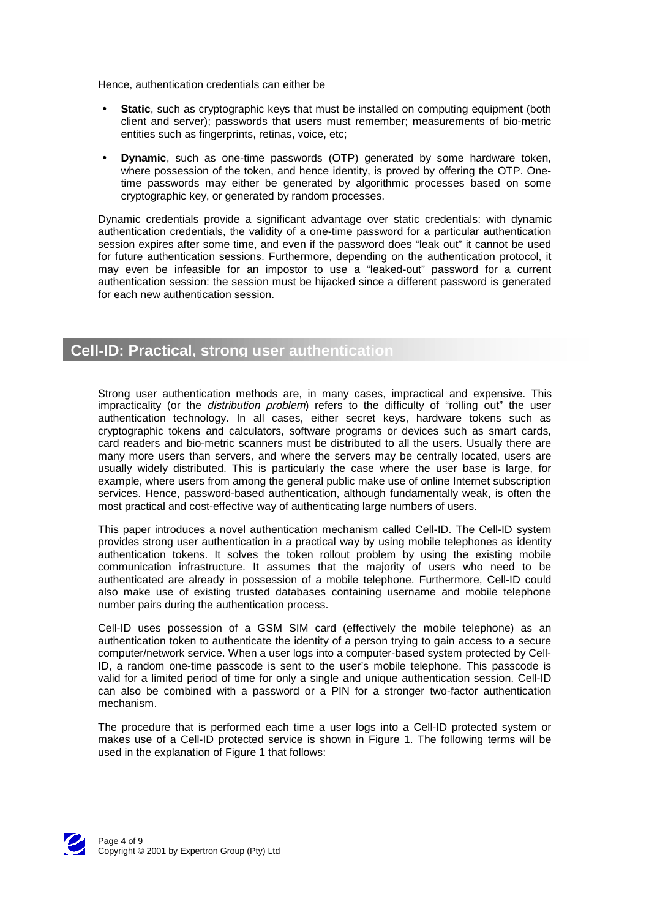Hence, authentication credentials can either be

- **Static**, such as cryptographic keys that must be installed on computing equipment (both client and server); passwords that users must remember; measurements of bio-metric entities such as fingerprints, retinas, voice, etc;
- **Dynamic**, such as one-time passwords (OTP) generated by some hardware token, where possession of the token, and hence identity, is proved by offering the OTP. Onetime passwords may either be generated by algorithmic processes based on some cryptographic key, or generated by random processes.

Dynamic credentials provide a significant advantage over static credentials: with dynamic authentication credentials, the validity of a one-time password for a particular authentication session expires after some time, and even if the password does "leak out" it cannot be used for future authentication sessions. Furthermore, depending on the authentication protocol, it may even be infeasible for an impostor to use a "leaked-out" password for a current authentication session: the session must be hijacked since a different password is generated for each new authentication session.

# **Cell-ID: Practical, strong user authentication**

Strong user authentication methods are, in many cases, impractical and expensive. This impracticality (or the distribution problem) refers to the difficulty of "rolling out" the user authentication technology. In all cases, either secret keys, hardware tokens such as cryptographic tokens and calculators, software programs or devices such as smart cards, card readers and bio-metric scanners must be distributed to all the users. Usually there are many more users than servers, and where the servers may be centrally located, users are usually widely distributed. This is particularly the case where the user base is large, for example, where users from among the general public make use of online Internet subscription services. Hence, password-based authentication, although fundamentally weak, is often the most practical and cost-effective way of authenticating large numbers of users.

This paper introduces a novel authentication mechanism called Cell-ID. The Cell-ID system provides strong user authentication in a practical way by using mobile telephones as identity authentication tokens. It solves the token rollout problem by using the existing mobile communication infrastructure. It assumes that the majority of users who need to be authenticated are already in possession of a mobile telephone. Furthermore, Cell-ID could also make use of existing trusted databases containing username and mobile telephone number pairs during the authentication process.

Cell-ID uses possession of a GSM SIM card (effectively the mobile telephone) as an authentication token to authenticate the identity of a person trying to gain access to a secure computer/network service. When a user logs into a computer-based system protected by Cell-ID, a random one-time passcode is sent to the user's mobile telephone. This passcode is valid for a limited period of time for only a single and unique authentication session. Cell-ID can also be combined with a password or a PIN for a stronger two-factor authentication mechanism.

The procedure that is performed each time a user logs into a Cell-ID protected system or makes use of a Cell-ID protected service is shown in Figure 1. The following terms will be used in the explanation of Figure 1 that follows:

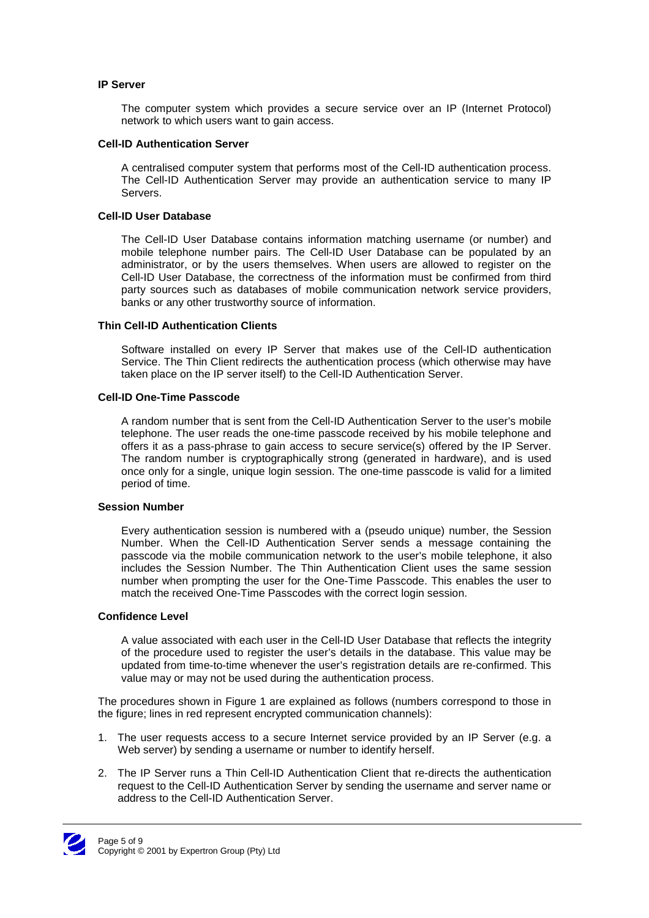## **IP Server**

The computer system which provides a secure service over an IP (Internet Protocol) network to which users want to gain access.

#### **Cell-ID Authentication Server**

A centralised computer system that performs most of the Cell-ID authentication process. The Cell-ID Authentication Server may provide an authentication service to many IP Servers.

## **Cell-ID User Database**

The Cell-ID User Database contains information matching username (or number) and mobile telephone number pairs. The Cell-ID User Database can be populated by an administrator, or by the users themselves. When users are allowed to register on the Cell-ID User Database, the correctness of the information must be confirmed from third party sources such as databases of mobile communication network service providers, banks or any other trustworthy source of information.

#### **Thin Cell-ID Authentication Clients**

Software installed on every IP Server that makes use of the Cell-ID authentication Service. The Thin Client redirects the authentication process (which otherwise may have taken place on the IP server itself) to the Cell-ID Authentication Server.

#### **Cell-ID One-Time Passcode**

A random number that is sent from the Cell-ID Authentication Server to the user's mobile telephone. The user reads the one-time passcode received by his mobile telephone and offers it as a pass-phrase to gain access to secure service(s) offered by the IP Server. The random number is cryptographically strong (generated in hardware), and is used once only for a single, unique login session. The one-time passcode is valid for a limited period of time.

#### **Session Number**

Every authentication session is numbered with a (pseudo unique) number, the Session Number. When the Cell-ID Authentication Server sends a message containing the passcode via the mobile communication network to the user's mobile telephone, it also includes the Session Number. The Thin Authentication Client uses the same session number when prompting the user for the One-Time Passcode. This enables the user to match the received One-Time Passcodes with the correct login session.

### **Confidence Level**

A value associated with each user in the Cell-ID User Database that reflects the integrity of the procedure used to register the user's details in the database. This value may be updated from time-to-time whenever the user's registration details are re-confirmed. This value may or may not be used during the authentication process.

The procedures shown in Figure 1 are explained as follows (numbers correspond to those in the figure; lines in red represent encrypted communication channels):

- 1. The user requests access to a secure Internet service provided by an IP Server (e.g. a Web server) by sending a username or number to identify herself.
- 2. The IP Server runs a Thin Cell-ID Authentication Client that re-directs the authentication request to the Cell-ID Authentication Server by sending the username and server name or address to the Cell-ID Authentication Server.

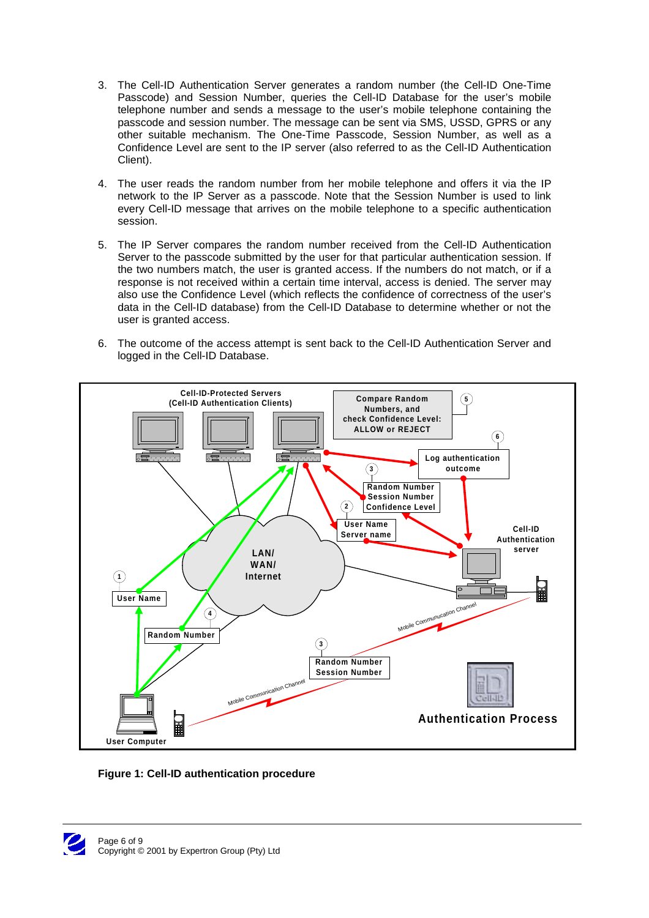- 3. The Cell-ID Authentication Server generates a random number (the Cell-ID One-Time Passcode) and Session Number, queries the Cell-ID Database for the user's mobile telephone number and sends a message to the user's mobile telephone containing the passcode and session number. The message can be sent via SMS, USSD, GPRS or any other suitable mechanism. The One-Time Passcode, Session Number, as well as a Confidence Level are sent to the IP server (also referred to as the Cell-ID Authentication Client).
- 4. The user reads the random number from her mobile telephone and offers it via the IP network to the IP Server as a passcode. Note that the Session Number is used to link every Cell-ID message that arrives on the mobile telephone to a specific authentication session.
- 5. The IP Server compares the random number received from the Cell-ID Authentication Server to the passcode submitted by the user for that particular authentication session. If the two numbers match, the user is granted access. If the numbers do not match, or if a response is not received within a certain time interval, access is denied. The server may also use the Confidence Level (which reflects the confidence of correctness of the user's data in the Cell-ID database) from the Cell-ID Database to determine whether or not the user is granted access.
- 6. The outcome of the access attempt is sent back to the Cell-ID Authentication Server and logged in the Cell-ID Database.





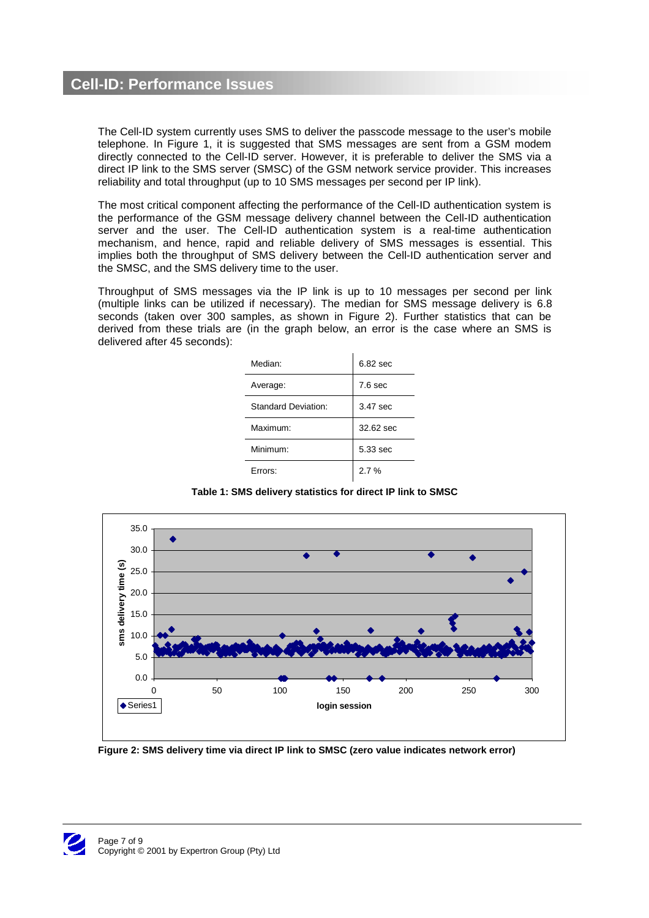# **Cell-ID: Performance Issues**

The Cell-ID system currently uses SMS to deliver the passcode message to the user's mobile telephone. In Figure 1, it is suggested that SMS messages are sent from a GSM modem directly connected to the Cell-ID server. However, it is preferable to deliver the SMS via a direct IP link to the SMS server (SMSC) of the GSM network service provider. This increases reliability and total throughput (up to 10 SMS messages per second per IP link).

The most critical component affecting the performance of the Cell-ID authentication system is the performance of the GSM message delivery channel between the Cell-ID authentication server and the user. The Cell-ID authentication system is a real-time authentication mechanism, and hence, rapid and reliable delivery of SMS messages is essential. This implies both the throughput of SMS delivery between the Cell-ID authentication server and the SMSC, and the SMS delivery time to the user.

Throughput of SMS messages via the IP link is up to 10 messages per second per link (multiple links can be utilized if necessary). The median for SMS message delivery is 6.8 seconds (taken over 300 samples, as shown in Figure 2). Further statistics that can be derived from these trials are (in the graph below, an error is the case where an SMS is delivered after 45 seconds):

| Median:                    | $6.82$ sec         |
|----------------------------|--------------------|
| Average:                   | 7.6 <sub>sec</sub> |
| <b>Standard Deviation:</b> | 3.47 sec           |
| Maximum:                   | 32.62 sec          |
| Minimum:                   | 5.33 sec           |
| Frrors:                    | 2.7%               |

**Table 1: SMS delivery statistics for direct IP link to SMSC**



**Figure 2: SMS delivery time via direct IP link to SMSC (zero value indicates network error)**

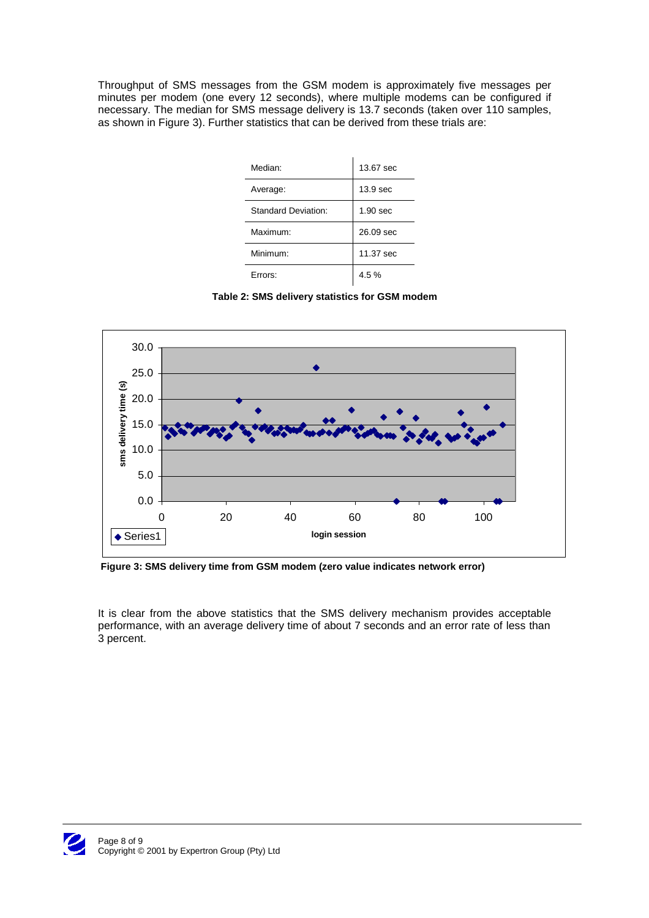Throughput of SMS messages from the GSM modem is approximately five messages per minutes per modem (one every 12 seconds), where multiple modems can be configured if necessary. The median for SMS message delivery is 13.7 seconds (taken over 110 samples, as shown in Figure 3). Further statistics that can be derived from these trials are:

| Median:             | 13.67 sec           |
|---------------------|---------------------|
| Average:            | 13.9 <sub>sec</sub> |
| Standard Deviation: | 1.90 <sub>sec</sub> |
| Maximum:            | 26.09 sec           |
| Minimum:            | 11.37 sec           |
| Frrors:             | 4.5%                |

**Table 2: SMS delivery statistics for GSM modem**



 **Figure 3: SMS delivery time from GSM modem (zero value indicates network error)**

It is clear from the above statistics that the SMS delivery mechanism provides acceptable performance, with an average delivery time of about 7 seconds and an error rate of less than 3 percent.